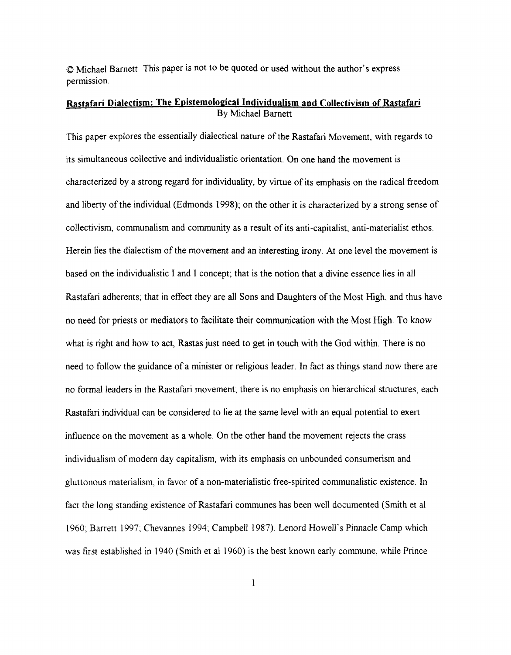O Michael Barnett This paper is not to be quoted or used without the author's express permission.

## **Rastafari Dialectism: The Epistemological Individualism and Collectivism of Rastafari** By Michael Barnett

This paper explores the essentially dialectical nature of the Rastafari Movement, with regards to its simultaneous collective and individualistic orientation. On one hand the movement is characterized by a strong regard for individuality, by virtue of its emphasis on the radical freedom and liberty of the individual (Edmonds 1998); on the other it is characterized by a strong sense of collectivism, communalism and community as a result of its anti-capitalist, anti-materialist ethos. Herein lies the dialectism of the movement and an interesting irony. At one level the movement is based on the individualistic I and I concept; that is the notion that a divine essence lies in all Rastafari adherents; that in effect they are all Sons and Daughters of the Most High, and thus have no need for priests or mediators to facilitate their communication with the Most High. To know what is right and how to act, Rastas just need to get in touch with the God within. There is no need to follow the guidance of a minister or religious leader. In fact as things stand now there are no formal leaders in the Rastafari movement: there is no emphasis on hierarchical structures; each Rastafari individual can be considered to lie at the same level with an equal potential to exert influence on the movement as a whole. On the other hand the movement rejects the crass individualism of modern day capitalism, with its emphasis on unbounded consumerism and gluttonous materialism, in favor of a non-materialistic free-spirited communalistic existence. In fact the long standing existence of Rastafari communes has been well documented (Smith et a1 1960; Barrett 1997; Chevannes 1994; Campbell 1987). Lenord Howell's Pinnacle Camp which was first established in 1940 (Smith et a1 1960) is the best known early commune, while Prince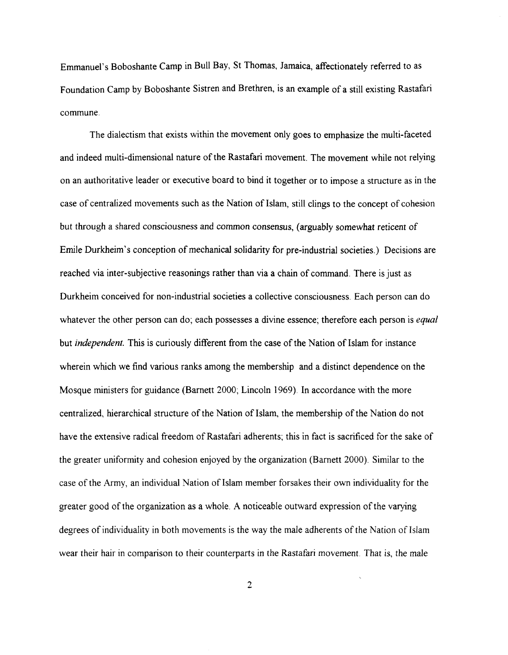Emmanuel's Boboshante Camp in Bull Bay, St Thomas, Jamaica, affectionately referred to as Foundation Camp by Boboshante Sistren and Brethren, is an example of a still existing Rastafari commune.

The dialectism that exists within the movement only goes to emphasize the multi-faceted and indeed multi-dimensional nature of the Rastafari movement. The movement while not relying on an authoritative leader or executive board to bind it together or to impose a structure as in the case of centralized movements such as the Nation of Islam, still clings to the concept of cohesion but through a shared consciousness and common consensus, (arguably somewhat reticent of Emile Durkheim's conception of mechanical solidarity for pre-industrial societies.) Decisions are reached via inter-subjective reasonings rather than via a chain of command. There is just as Durkheim conceived for non-industrial societies a collective consciousness. Each person can do whatever the other person can do; each possesses a divine essence; therefore each person is *equal* but *independent.* This is curiously different from the case of the Nation of Islam for instance wherein which we find various ranks among the membership and a distinct dependence on the Mosque ministers for guidance (Barnett 2000; Lincoln 1969). In accordance with the more centralized, hierarchical structure of the Nation of Islam, the membership of the Nation do not have the extensive radical freedom of Rastafari adherents; this in fact is sacrificed for the sake of the greater uniformity and cohesion enjoyed by the organization (Barnett 2000). Similar to the case of the Army, an individual Nation of Islam member forsakes their own individuality for the greater good of the organization as a whole. **A** noticeable outward expression of the varying degrees of individuality in both movements is the way the male adherents of the Nation of Islam wear their hair in comparison to their counterparts in the Rastafari movement. That is, the male

 $\overline{2}$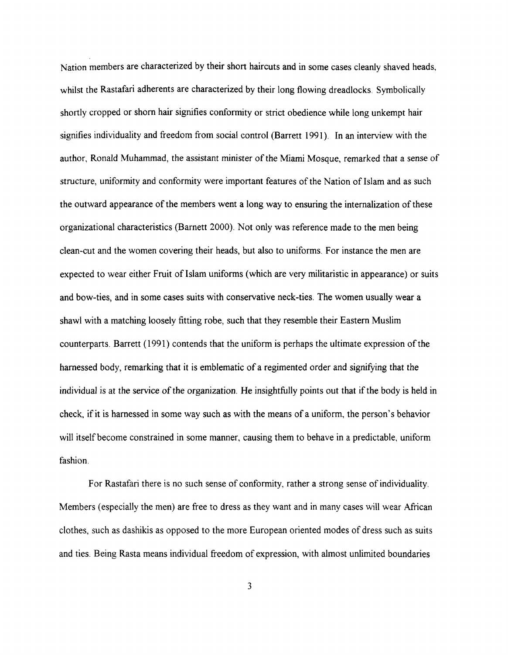Nation members are characterized by their short haircuts and in some cases cleanly shaved heads, whilst the Rastafari adherents are characterized by their long flowing dreadlocks. Symbolically shortly cropped or shorn hair signifies conformity or strict obedience while long unkempt hair signifies individuality and freedom from social control (Barrett 1991). In an interview with the author, Ronald Muhammad, the assistant minister of the Miami Mosque, remarked that a sense of structure, uniformity and conformity were important features of the Nation of Islam and as such the outward appearance of the members went a long way to ensuring the internalization of these organizational characteristics (Barnett 2000). Not only was reference made to the men being clean-cut and the women covering their heads, but also to uniforms. For instance the men are expected to wear either Fruit of Islam uniforms (which are very militaristic in appearance) or suits and bow-ties, and in some cases suits with conservative neck-ties. The women usually wear a shawl with a matching loosely fitting robe, such that they resemble their Eastern Muslim counterparts. Barrett (1991) contends that the uniform is perhaps the ultimate expression of the harnessed body, remarking that it is emblematic of a regimented order and signifying that the individual is at the service of the organization. He insighthlly points out that if the body is held in check, if it is harnessed in some way such as with the means of a uniform, the person's behavior will itself become constrained in some manner, causing them to behave in a predictable, uniform fashion.

For Rastafari there is no such sense of conformity, rather a strong sense of individuality. Members (especially the men) are free to dress as they want and in many cases will wear African clothes, such as dashikis as opposed to the more European oriented modes of dress such as suits and ties. Being Rasta means individual freedom of expression, with almost unlimited boundaries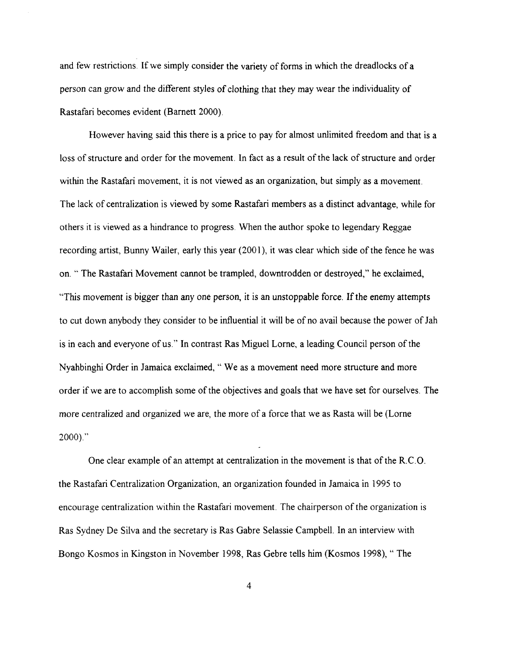and few restrictions. If we simply consider the variety of forms in which the dreadlocks of a person can grow and the different styles of clothing that they may wear the individuality of Rastafari becomes evident (Barnett 2000).

However having said this there is a price to pay for almost unlimited freedom and that is a loss of structure and order for the movement. In fact as a result of the lack of structure and order within the Rastafari movement, it is not viewed as an organization, but simply as a movement. The lack of centralization is viewed by some Rastafari members as a distinct advantage, while for others it is viewed as a hindrance to progress. When the author spoke to legendary Reggae recording artist, Bunny Wailer, early this year (2001), it was clear which side of the fence he was on. " The Rastafari Movement cannot be trampled, downtrodden or destroyed," he exclaimed, "This movement is bigger than any one person, it is an unstoppable force. If the enemy attempts to cut down anybody they consider to be influential it will be of no avail because the power of Jah is in each and everyone of us." In contrast Ras Miguel Lorne, a leading Council person of the Nyahbinghi Order in Jamaica exclaimed, " We as a movement need more structure and more order if we are to accomplish some of the objectives and goals that we have set for ourselves. The more centralized and organized we are, the more of a force that we as Rasta will be (Lorne  $2000$ ."

One clear example of an attempt at centralization in the movement is that of the R.C.O. the Rastafari Centralization Organization, an organization founded in Jamaica in 1995 to encourage centralization within the Rastafari movement. The chairperson of the organization is Ras Sydney De Silva and the secretary is Ras Gabre Selassie Campbell. In an interview with Bongo Kosmos in Kingston in November 1998, Ras Gebre tells him (Kosmos 1998), " The

 $\overline{4}$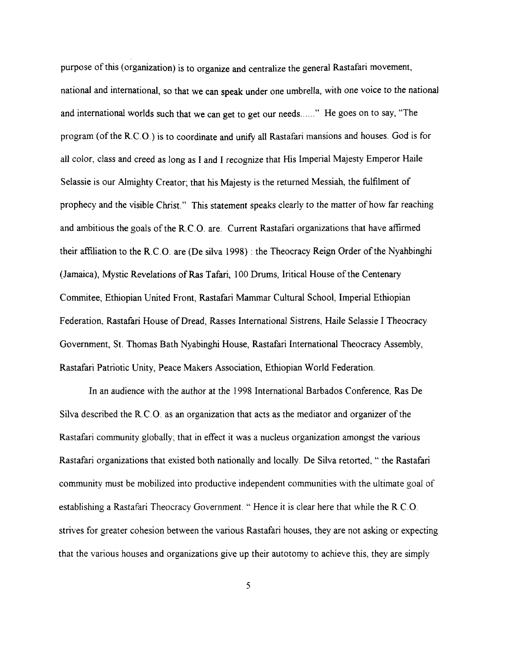purpose of this (organization) is to organize and centralize the general Rastafari movement, national and international, so that we can speak under one umbrella, with one voice to the national and international worlds such that we can get to get our needs......" He goes on to say, "The program (of the R.C.O.) is to coordinate and unify all Rastafari mansions and houses. God is for all color, class and creed as long as I and **I** recognize that His Imperial Majesty Emperor Haile Selassie is our Almighty Creator; that his Majesty is the returned Messiah, the fulfilment of prophecy and the visible Christ." This statement speaks clearly to the matter of how far reaching and ambitious the goals of the R.C.O. are. Current Rastafari organizations that have affirmed their affiliation to the R.C.O. are (De silva 1998) : the Theocracy Reign Order of the Nyahbinghi (Jamaica), Mystic Revelations of Ras Tafari, 100 Drums, Iritical House of the Centenary Commitee, Ethiopian United Front, Rastafari Mammar Cultural School, Imperial Ethiopian Federation, Rastafari House of Dread, Rasses International Sistrens, Haile Selassie I Theocracy Government, St. Thomas Bath Nyabinghi House, Rastafari International Theocracy Assembly, Rastafari Patriotic Unity, Peace Makers Association, Ethiopian World Federation.

In an audience with the author at the 1998 International Barbados Conference, Ras De Silva described the R.C.O. as an organization that acts as the mediator and organizer of the Rastafari community globally; that in effect it was a nucleus organization amongst the various Rastafari organizations that existed both nationally and locally. De Silva retorted, " the Rastafari community must be mobilized into productive independent communities with the ultimate goal of establishing a Rastafari Theocracy Government. " Hence it is clear here that while the R.C.O. strives for greater cohesion between the various Rastafari houses, they are not asking or expecting that the various houses and organizations give up their autotomy to achieve this, they are simply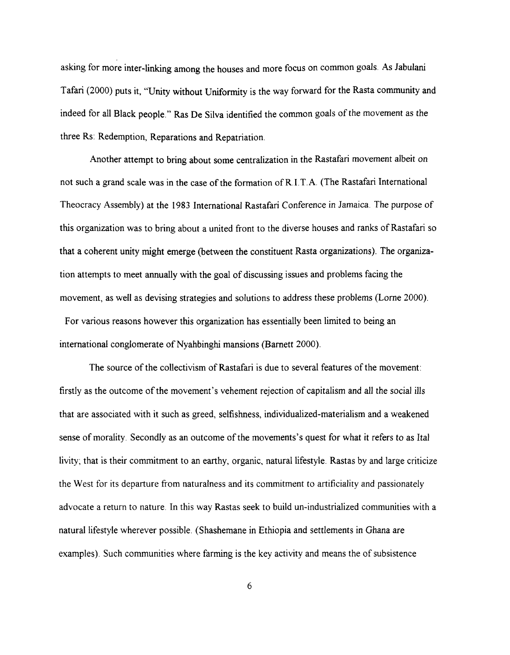asking for more inter-linking among the houses and more focus on common goals. As Jabulani Tafari (2000) puts it, "Unity without Uniformity is the way forward for the Rasta community and indeed for all Black people." Ras De Silva identified the common goals of the movement as the three Rs: Redemption, Reparations and Repatriation.

Another attempt to bring about some centralization in the Rastafari movement albeit on not such a grand scale was in the case of the formation of R.I.T.A. (The Rastafari International Theocracy Assembly) at the 1983 International Rastafari Conference in Jamaica. The purpose of this organization was to bring about a united front to the diverse houses and ranks of Rastafari so that a coherent unity might emerge (between the constituent Rasta organizations). The organization attempts to meet annually with the goal of discussing issues and problems facing the movement, as well as devising strategies and solutions to address these problems (Lorne 2000).

For various reasons however this organization has essentially been limited to being an international conglomerate of Nyahbinghi mansions (Barnett 2000).

The source of the collectivism of Rastafari is due to several features of the movement: firstly as the outcome of the movement's vehement rejection of capitalism and all the social ills that are associated with it such as greed, selfishness, individualized-materialism and a weakened sense of morality. Secondly as an outcome of the movements's quest for what it refers to as Ital livity; that is their commitment to an earthy, organic, natural lifestyle. Rastas by and large criticize the West for its departure from naturalness and its commitment to artificiality and passionately advocate a return to nature. In this way Rastas seek to build un-industrialized communities with a natural lifestyle wherever possible. (Shashemane in Ethiopia and settlements in Ghana are examples). Such communities where farming is the key activity and means the of subsistence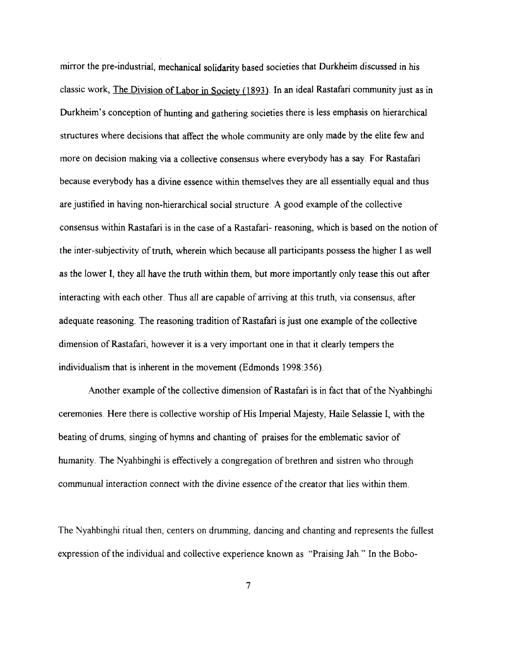mirror the pre-industrial, mechanical solidarity based societies that Durkheim discussed in his classic work, The Division of Labor in Societv (1 **893).** In an ideal Rastafari community just as in Durkheim's conception of hunting and gathering societies there is less emphasis on hierarchical structures where decisions that affect the whole community are only made by the elite few and more on decision making via a collective consensus where everybody has a say. For Rastafari because everybody has a divine essence within themselves they are all essentially equal and thus are justified in having non-hierarchical social structure. **A** good example of the collective consensus within Rastafari is in the case of a Rastafari- reasoning, which is based on the notion of the inter-subjectivity of truth, wherein which because all participants possess the higher I as well as the lower I, they all have the truth within them, but more importantly only tease this out after interacting with each other. Thus all are capable of arriving at this truth, via consensus, after adequate reasoning. The reasoning tradition of Rastafari is just one example of the collective dimension of Rastafari, however it is a very important one in that it clearly tempers the individualism that is inherent in the movement (Edmonds 1998:356).

Another example of the collective dimension of Rastafari is in fact that of the Nyahbinghi ceremonies. Here there is collective worship of His Imperial Majesty, Haile Selassie I, with the beating of drums, singing of hymns and chanting of praises for the emblematic savior of humanity. The Nyahbinghi is effectively a congregation of brethren and sistren who through communual interaction connect with the divine essence of the creator that lies within them.

The Nyahbinghi ritual then, centers on drumming, dancing and chanting and represents the fullest expression of the individual and collective experience known as "Praising Jah." In the Bobo-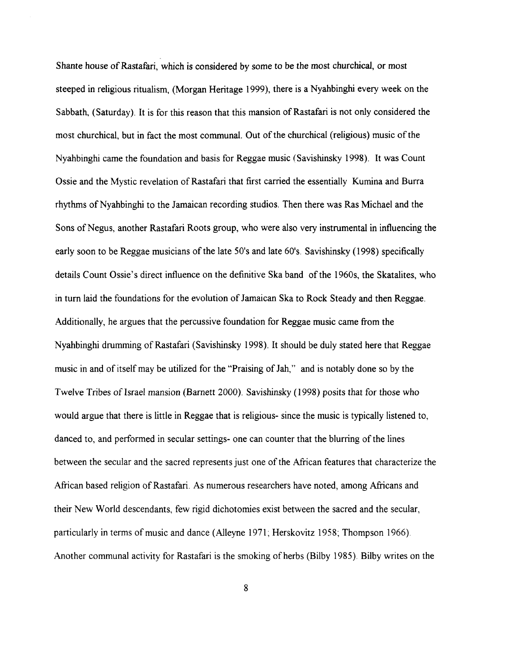Shante house of Rastafari, which is considered by some to be the most churchical, or most steeped in religious ritualism, (Morgan Heritage 1999), there is a Nyahbinghi every week on the Sabbath, (Saturday). It is for this reason that this mansion of Rastafari is not only considered the most churchical, but in fact the most communal. Out of the churchical (religious) music of the Nyahbinghi came the foundation and basis for Reggae music (Savishinsky 1998). It was Count Ossie and the Mystic revelation of Rastafari that first carried the essentially Kumina and Burra rhythms of Nyahbinghi to the Jamaican recording studios. Then there was Ras Michael and the Sons of Negus, another Rastafari Roots group, who were also very instrumental in influencing the early soon to be Reggae musicians of the late 50's and late 60's. Savishinsky (1998) specifically details Count Ossie's direct influence on the definitive Ska band of the 1960s, the Skatalites, who in turn laid the foundations for the evolution of Jamaican Ska to Rock Steady and then Reggae. Additionally, he argues that the percussive foundation for Reggae music came from the Nyahbinghi drumming of Rastafari (Savishinsky 1998). It should be duly stated here that Reggae music in and of itself may be utilized for the "Praising of Jah," and is notably done so by the Twelve Tribes of Israel mansion (Barnett 2000). Savishinsky (1998) posits that for those who would argue that there is little in Reggae that is religious- since the music is typically listened to, danced to, and performed in secular settings- one can counter that the blurring of the lines between the secular and the sacred represents just one of the African features that characterize the African based religion of Rastafari. As numerous researchers have noted, among Africans and their New World descendants, few rigid dichotomies exist between the sacred and the secular, particularly in terms of music and dance (Alleyne 1971; Herskovitz 1958; Thompson 1966). Another communal activity for Rastafari is the smoking of herbs (Bilby 1985). Bilby writes on the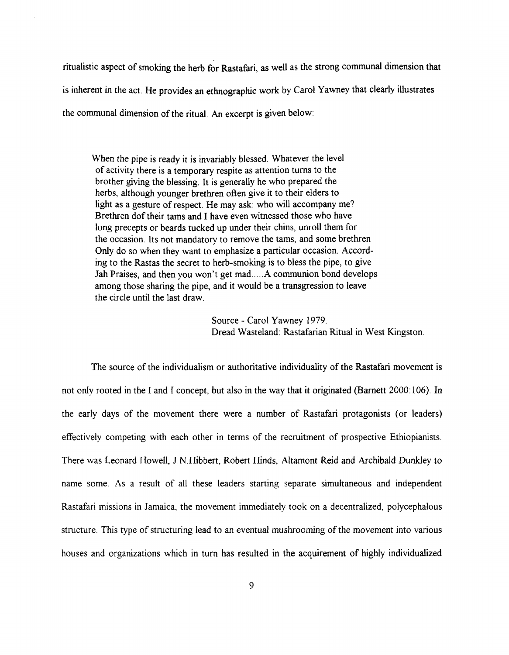ritualistic aspect of smoking the herb for Rastafari, as well as the strong communal dimension that is inherent in the act. He provides **an** ethnographic work by Carol Yawney that clearly illustrates the communal dimension of the ritual. **An** excerpt is given below:

When the pipe is ready it is invariably blessed. Whatever the level of activity there is a temporary respite as attention turns to the brother giving the blessing. It is generally he who prepared the herbs, although younger brethren often give it to their elders to light as a gesture of respect. He may ask: who will accompany me? Brethren dof their tams and I have even witnessed those who have long precepts or beards tucked up under their chins, unroll them for the occasion. Its not mandatory to remove the tams, and some brethren Only do so when they want to emphasize a particular occasion. According to the Rastas the secret to herb-smoking is to bless the pipe, to give Jah Praises, and then you won't get mad.....A communion bond develops among those sharing the pipe, and it would be a transgression to leave the circle until the last draw.

> Source - Carol Yawney 1979. Dread Wasteland: Rastafarian Ritual in West Kingston

The source of the individualism or authoritative individuality of the Rastafari movement is not only rooted in the I and I concept, but also in the way that it originated (Barnett 2000: 106). In the early days of the movement there were a number of Rastafari protagonists (or leaders) effectively competing with each other in terms of the recruitment of prospective Ethiopianists. There was Leonard Howell, J.N.Hibbert, Robert Hinds, Altamont Reid and Archibald Dunkley to name some. As a result of all these leaders starting separate simultaneous and independent Rastafari missions in Jamaica, the movement immediately took on a decentralized, polycephalous structure. This type of structuring lead to an eventual mushrooming of the movement into various houses and organizations which in turn has resulted in the acquirement of highly individualized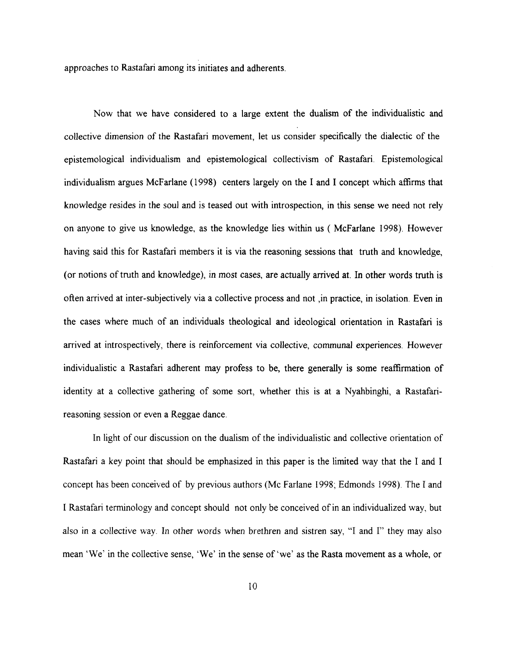approaches to Rastafari among its initiates and adherents.

Now that we have considered to a large extent the dualism of the individualistic and collective dimension of the Rastafari movement, let us consider specifically the dialectic of the epistemological individualism and epistemologicaI collectivism of Rastafari. Epistemological individualism argues McFarlane (1998) centers largely on the I and I concept which affirms that knowledge resides in the soul and is teased out with introspection, in this sense we need not rely on anyone to give us knowledge, as the knowledge lies within us ( McFarlane 1998). However having said this for Rastafari members it is via the reasoning sessions that truth and knowledge, (or notions of truth and knowledge), in most cases, are actually arrived at. In other words truth is often arrived at inter-subjectively via a collective process and not ,in practice, in isolation. Even in the cases where much of an individuals theological and ideological orientation in Rastafari is arrived at introspectively, there is reinforcement via collective, communal experiences. However individualistic a Rastafari adherent may profess to be, there generally is some reaffirmation of identity at a collective gathering of some sort, whether this is at a Nyahbinghi, a Rastafarireasoning session or even a Reggae dance.

In light of our discussion on the dualism of the individualistic and collective orientation of Rastafari a key point that should be emphasized in this paper is the limited way that the I and I concept has been conceived of by previous authors (Mc Farlane 1998; Edmonds 1998). The I and I Rastafari terminology and concept should not only be conceived of in an individualized way, but also in a collective way. In other words when brethren and sistren say, "I and I" they may also mean 'We' in the collective sense, 'We' in the sense of 'we' as the Rasta movement as a whole, or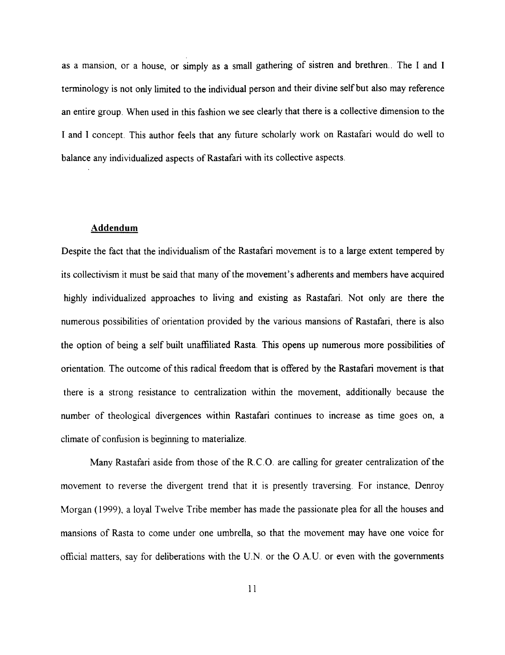as a mansion, or a house, or simply as a small gathering of sistren and brethren.. The I and I terminology is not only limited to the individual person and their divine self but also may reference an entire group. When used in this fashion we see clearly that there is a collective dimension to the I and I concept. This author feels that any future scholarly work on Rastafari would do well to balance any individualized aspects of Rastafari with its collective aspects.

## **Addendum**

Despite the fact that the individualism of the Rastafari movement is to a large extent tempered by its collectivism it must be said that many of the movement's adherents and members have acquired highly individualized approaches to living and existing as Rastafari. Not only are there the numerous possibilities of orientation provided by the various mansions of Rastafari, there is also the option of being a self built unaffiliated Rasta. This opens up numerous more possibilities of orientation. The outcome of this radical freedom that is offered by the Rastafari movement is that there is a strong resistance to centralization within the movement, additionally because the number of theological divergences within Rastafari continues to increase as time goes on, a climate of confusion is beginning to materialize.

Many Rastafari aside from those of the R.C.O. are calling for greater centralization of the movement to reverse the divergent trend that it is presently traversing. For instance, Denroy Morgan (1999), a loyal Twelve Tribe member has made the passionate plea for all the houses and mansions of Rasta to come under one umbrella, so that the movement may have one voice for official matters, say for deliberations with the U.N. or the O.A.U. or even with the governments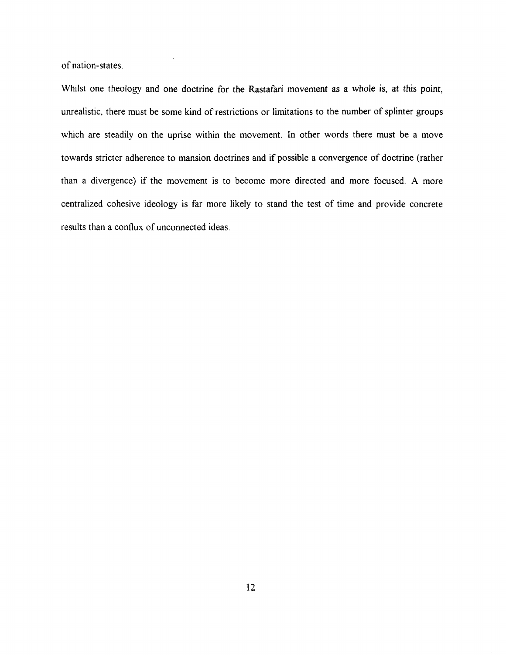of nation-states.

Whilst one theology and one doctrine for the Rastafari movement as a whole is, at this point, unrealistic, there must be some kind of restrictions or limitations to the number of splinter groups which are steadily on the uprise within the movement. In other words there must be a move towards stricter adherence to mansion doctrines and if possible a convergence of doctrine (rather than a divergence) if the movement is to become more directed and more focused. **A** more centralized cohesive ideology is far more likely to stand the test of time and provide concrete results than a conflux of unconnected ideas.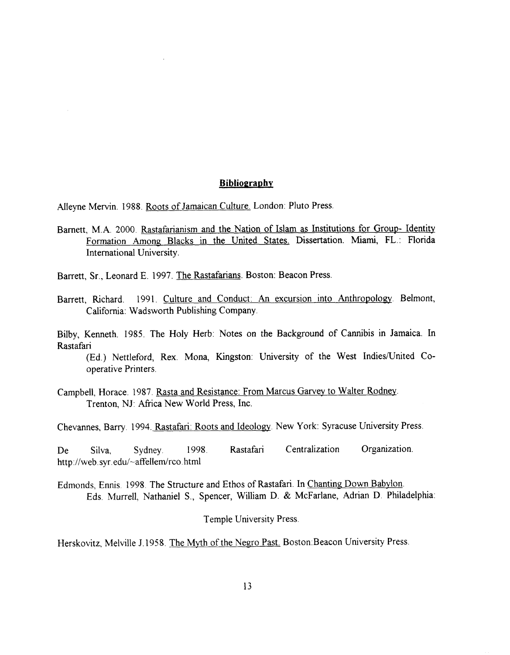Alleyne Mervin. 1988. Roots of Jamaican Culture. London: Pluto Press.

Barnett, M.A. 2000. Rastafarianism and the Nation of Islam as Institutions for Group- Identity Formation Among Blacks in the United States. Dissertation. Miami, FL.: Florida International University. **Ethiography**<br> **Examplementary**<br> **11 Consider Scheme Common Plato Press**<br> **12 Binds and the Nation of Islam as Institutions for Group- Identity<br>
12 Binds and Condust An assursion into Anthropology. Belmont,<br>
1307. The Rass** 

Barrett, Sr., Leonard E. 1997. The Rastafarians. Boston: Beacon Press.

Barrett, Richard. 1991. Culture and Conduct: An excursion into Anthropology. Belmont, California: Wadsworth Publishing Company.

Bilby, Kenneth. 1985. The Holy Herb: Notes on the Background of Cannibis in Jamaica. In Rastafari

(Ed.) Nettleford, Rex. Mona, Kingston: University of the West Indies/United Cooperative Printers.

Campbell, Horace. 1987. <u>F</u> Trenton, NJ: Africa New World Press, Inc.

Chevannes, Barry. 1994. Rastafari: Roots and Ideology. New York: Syracuse University Press.

De Silva, Sydney. 1998. Rastafari Centralization Organization. http://web.syr.edu/~affellem/rco.html

Edmonds, Ennis. 1998. The Structure and Ethos of Rastafari. In Chanting Down Babvlon. Eds. Murrell, Nathaniel S., Spencer, William D. & McFarlane, Adrian D. Philadelphia:

Temple University Press.

Herskovitz, Melville J. 1958. The **Myth** of the Negro Past. Boston:Beacon University Press